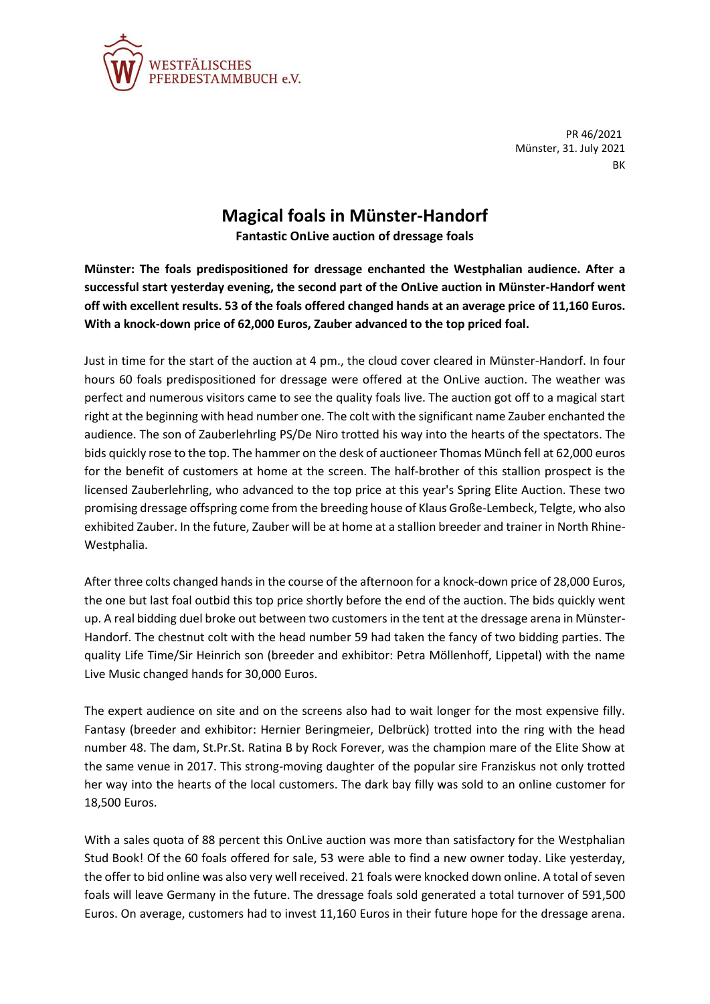

PR 46/2021 Münster, 31. July 2021 BK

## **Magical foals in Münster-Handorf**

**Fantastic OnLive auction of dressage foals**

**Münster: The foals predispositioned for dressage enchanted the Westphalian audience. After a successful start yesterday evening, the second part of the OnLive auction in Münster-Handorf went off with excellent results. 53 of the foals offered changed hands at an average price of 11,160 Euros. With a knock-down price of 62,000 Euros, Zauber advanced to the top priced foal.**

Just in time for the start of the auction at 4 pm., the cloud cover cleared in Münster-Handorf. In four hours 60 foals predispositioned for dressage were offered at the OnLive auction. The weather was perfect and numerous visitors came to see the quality foals live. The auction got off to a magical start right at the beginning with head number one. The colt with the significant name Zauber enchanted the audience. The son of Zauberlehrling PS/De Niro trotted his way into the hearts of the spectators. The bids quickly rose to the top. The hammer on the desk of auctioneer Thomas Münch fell at 62,000 euros for the benefit of customers at home at the screen. The half-brother of this stallion prospect is the licensed Zauberlehrling, who advanced to the top price at this year's Spring Elite Auction. These two promising dressage offspring come from the breeding house of Klaus Große-Lembeck, Telgte, who also exhibited Zauber. In the future, Zauber will be at home at a stallion breeder and trainer in North Rhine-Westphalia.

After three colts changed hands in the course of the afternoon for a knock-down price of 28,000 Euros, the one but last foal outbid this top price shortly before the end of the auction. The bids quickly went up. A real bidding duel broke out between two customers in the tent at the dressage arena in Münster-Handorf. The chestnut colt with the head number 59 had taken the fancy of two bidding parties. The quality Life Time/Sir Heinrich son (breeder and exhibitor: Petra Möllenhoff, Lippetal) with the name Live Music changed hands for 30,000 Euros.

The expert audience on site and on the screens also had to wait longer for the most expensive filly. Fantasy (breeder and exhibitor: Hernier Beringmeier, Delbrück) trotted into the ring with the head number 48. The dam, St.Pr.St. Ratina B by Rock Forever, was the champion mare of the Elite Show at the same venue in 2017. This strong-moving daughter of the popular sire Franziskus not only trotted her way into the hearts of the local customers. The dark bay filly was sold to an online customer for 18,500 Euros.

With a sales quota of 88 percent this OnLive auction was more than satisfactory for the Westphalian Stud Book! Of the 60 foals offered for sale, 53 were able to find a new owner today. Like yesterday, the offer to bid online was also very well received. 21 foals were knocked down online. A total of seven foals will leave Germany in the future. The dressage foals sold generated a total turnover of 591,500 Euros. On average, customers had to invest 11,160 Euros in their future hope for the dressage arena.